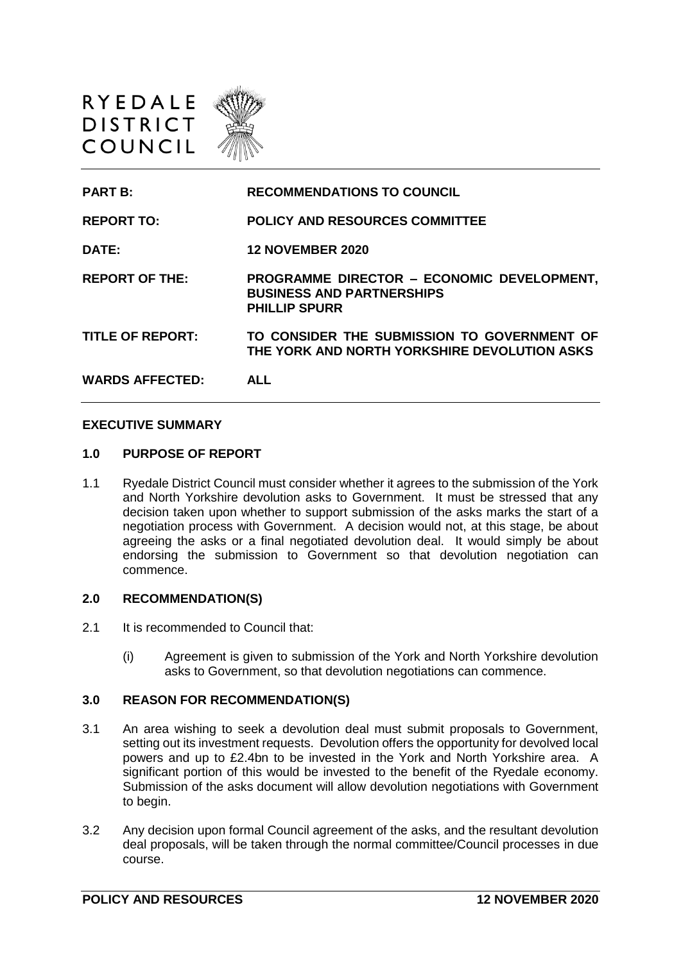



#### **EXECUTIVE SUMMARY**

#### **1.0 PURPOSE OF REPORT**

1.1 Ryedale District Council must consider whether it agrees to the submission of the York and North Yorkshire devolution asks to Government. It must be stressed that any decision taken upon whether to support submission of the asks marks the start of a negotiation process with Government. A decision would not, at this stage, be about agreeing the asks or a final negotiated devolution deal. It would simply be about endorsing the submission to Government so that devolution negotiation can commence.

### **2.0 RECOMMENDATION(S)**

- 2.1 It is recommended to Council that:
	- (i) Agreement is given to submission of the York and North Yorkshire devolution asks to Government, so that devolution negotiations can commence.

#### **3.0 REASON FOR RECOMMENDATION(S)**

- 3.1 An area wishing to seek a devolution deal must submit proposals to Government, setting out its investment requests. Devolution offers the opportunity for devolved local powers and up to £2.4bn to be invested in the York and North Yorkshire area. A significant portion of this would be invested to the benefit of the Ryedale economy. Submission of the asks document will allow devolution negotiations with Government to begin.
- 3.2 Any decision upon formal Council agreement of the asks, and the resultant devolution deal proposals, will be taken through the normal committee/Council processes in due course.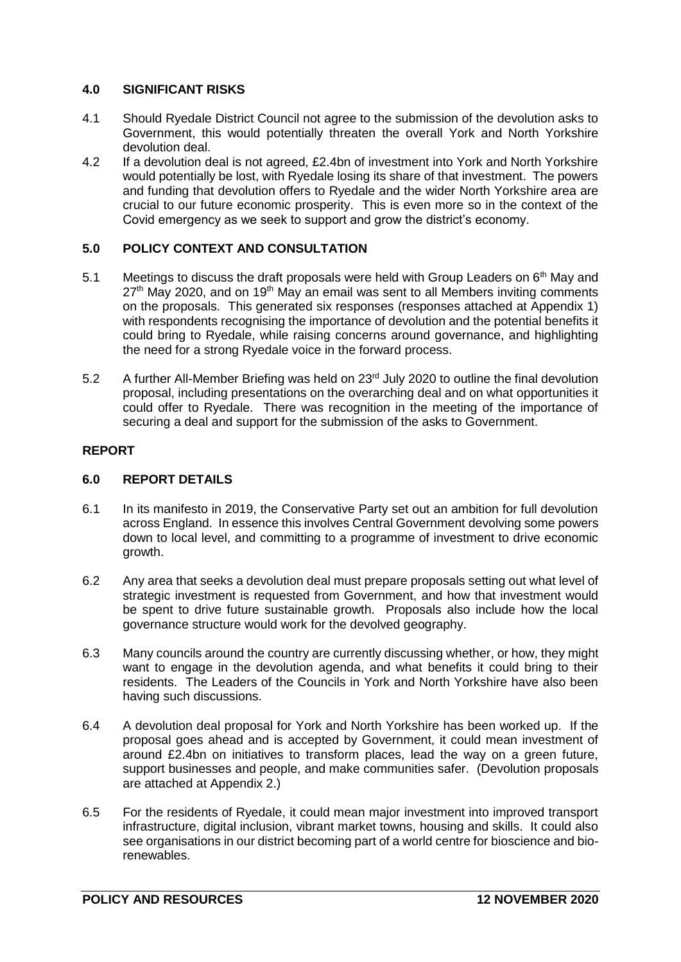# **4.0 SIGNIFICANT RISKS**

- 4.1 Should Ryedale District Council not agree to the submission of the devolution asks to Government, this would potentially threaten the overall York and North Yorkshire devolution deal.
- 4.2 If a devolution deal is not agreed, £2.4bn of investment into York and North Yorkshire would potentially be lost, with Ryedale losing its share of that investment. The powers and funding that devolution offers to Ryedale and the wider North Yorkshire area are crucial to our future economic prosperity. This is even more so in the context of the Covid emergency as we seek to support and grow the district's economy.

# **5.0 POLICY CONTEXT AND CONSULTATION**

- 5.1 Meetings to discuss the draft proposals were held with Group Leaders on  $6<sup>th</sup>$  May and  $27<sup>th</sup>$  May 2020, and on 19<sup>th</sup> May an email was sent to all Members inviting comments on the proposals. This generated six responses (responses attached at Appendix 1) with respondents recognising the importance of devolution and the potential benefits it could bring to Ryedale, while raising concerns around governance, and highlighting the need for a strong Ryedale voice in the forward process.
- 5.2 A further All-Member Briefing was held on  $23<sup>rd</sup>$  July 2020 to outline the final devolution proposal, including presentations on the overarching deal and on what opportunities it could offer to Ryedale. There was recognition in the meeting of the importance of securing a deal and support for the submission of the asks to Government.

# **REPORT**

### **6.0 REPORT DETAILS**

- 6.1 In its manifesto in 2019, the Conservative Party set out an ambition for full devolution across England. In essence this involves Central Government devolving some powers down to local level, and committing to a programme of investment to drive economic growth.
- 6.2 Any area that seeks a devolution deal must prepare proposals setting out what level of strategic investment is requested from Government, and how that investment would be spent to drive future sustainable growth. Proposals also include how the local governance structure would work for the devolved geography.
- 6.3 Many councils around the country are currently discussing whether, or how, they might want to engage in the devolution agenda, and what benefits it could bring to their residents. The Leaders of the Councils in York and North Yorkshire have also been having such discussions.
- 6.4 A devolution deal proposal for York and North Yorkshire has been worked up. If the proposal goes ahead and is accepted by Government, it could mean investment of around £2.4bn on initiatives to transform places, lead the way on a green future, support businesses and people, and make communities safer. (Devolution proposals are attached at Appendix 2.)
- 6.5 For the residents of Ryedale, it could mean major investment into improved transport infrastructure, digital inclusion, vibrant market towns, housing and skills. It could also see organisations in our district becoming part of a world centre for bioscience and biorenewables.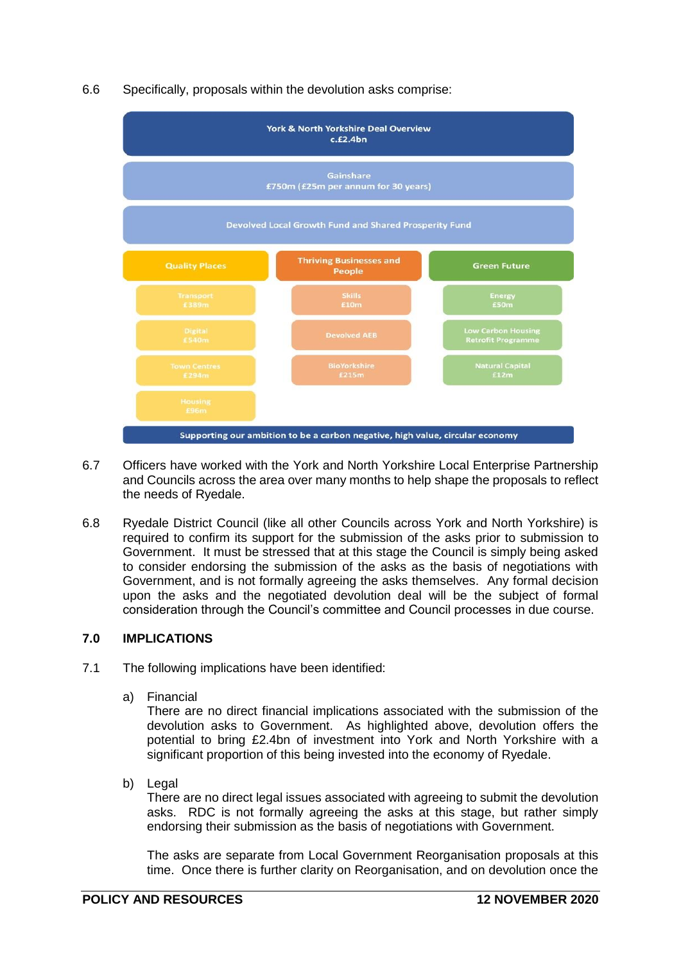## 6.6 Specifically, proposals within the devolution asks comprise:



- 6.7 Officers have worked with the York and North Yorkshire Local Enterprise Partnership and Councils across the area over many months to help shape the proposals to reflect the needs of Ryedale.
- 6.8 Ryedale District Council (like all other Councils across York and North Yorkshire) is required to confirm its support for the submission of the asks prior to submission to Government. It must be stressed that at this stage the Council is simply being asked to consider endorsing the submission of the asks as the basis of negotiations with Government, and is not formally agreeing the asks themselves. Any formal decision upon the asks and the negotiated devolution deal will be the subject of formal consideration through the Council's committee and Council processes in due course.

### **7.0 IMPLICATIONS**

- 7.1 The following implications have been identified:
	- a) Financial

There are no direct financial implications associated with the submission of the devolution asks to Government. As highlighted above, devolution offers the potential to bring £2.4bn of investment into York and North Yorkshire with a significant proportion of this being invested into the economy of Ryedale.

b) Legal

There are no direct legal issues associated with agreeing to submit the devolution asks. RDC is not formally agreeing the asks at this stage, but rather simply endorsing their submission as the basis of negotiations with Government.

The asks are separate from Local Government Reorganisation proposals at this time. Once there is further clarity on Reorganisation, and on devolution once the